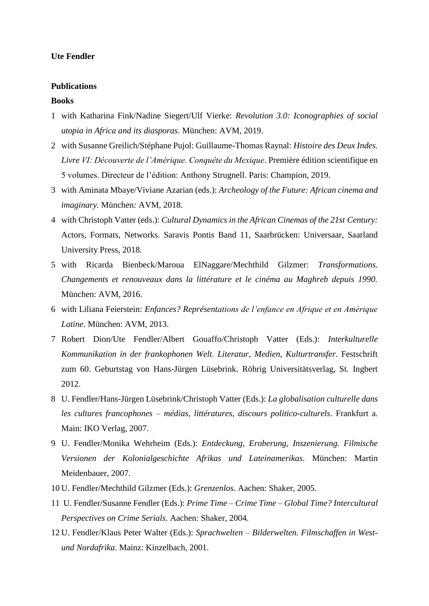### **Ute Fendler**

#### **Publications**

#### **Books**

- 1 with Katharina Fink/Nadine Siegert/Ulf Vierke: *Revolution 3.0: Iconographies of social utopia in Africa and its diasporas*. München: AVM, 2019.
- 2 with Susanne Greilich/Stéphane Pujol: Guillaume-Thomas Raynal: *Histoire des Deux Indes. Livre VI: Découverte de l'Amérique. Conquête du Mexique*. Première édition scientifique en 5 volumes. Directeur de l'édition: Anthony Strugnell. Paris: Champion, 2019.
- 3 with Aminata Mbaye/Viviane Azarian (eds.): *Archeology of the Future: African cinema and imaginary.* München*:* AVM, 2018.
- 4 with Christoph Vatter (eds.): *Cultural Dynamics in the African Cinemas of the 21st Century:*  Actors, Formats, Networks. Saravis Pontis Band 11, Saarbrücken: Universaar, Saarland University Press, 2018.
- 5 with Ricarda Bienbeck/Maroua ElNaggare/Mechthild Gilzmer: *Transformations. Changements et renouveaux dans la littérature et le cinéma au Maghreb depuis 1990.* München: AVM, 2016.
- 6 with Liliana Feierstein: *Enfances? Représentations de l'enfance en Afrique et en Amérique Latine.* München: AVM, 2013.
- 7 Robert Dion/Ute Fendler/Albert Gouaffo/Christoph Vatter (Eds.): *Interkulturelle Kommunikation in der frankophonen Welt. Literatur, Medien, Kulturtransfer*. Festschrift zum 60. Geburtstag von Hans-Jürgen Lüsebrink. Röhrig Universitätsverlag, St. Ingbert 2012.
- 8 U. Fendler/Hans-Jürgen Lüsebrink/Christoph Vatter (Eds.): *La globalisation culturelle dans les cultures francophones – médias, littératures, discours politico-culturels*. Frankfurt a. Main: IKO Verlag, 2007.
- 9 U. Fendler/Monika Wehrheim (Eds.): *Entdeckung, Eroberung, Inszenierung. Filmische Versionen der Kolonialgeschichte Afrikas und Lateinamerikas*. München: Martin Meidenbauer, 2007.
- 10 U. Fendler/Mechthild Gilzmer (Eds.): *Grenzenlos*. Aachen: Shaker, 2005.
- 11 U. Fendler/Susanne Fendler (Eds.): *Prime Time – Crime Time Global Time? Intercultural Perspectives on Crime Serials.* Aachen: Shaker, 2004.
- 12 U. Fendler/Klaus Peter Walter (Eds.): *Sprachwelten – Bilderwelten. Filmschaffen in Westund Nordafrika*. Mainz: Kinzelbach, 2001.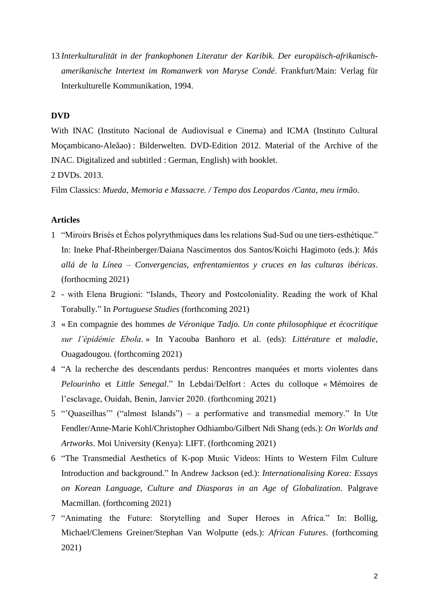13 *Interkulturalität in der frankophonen Literatur der Karibik. Der europäisch-afrikanischamerikanische Intertext im Romanwerk von Maryse Condé*. Frankfurt/Main: Verlag für Interkulturelle Kommunikation, 1994.

# **DVD**

With INAC (Instituto Nacional de Audiovisual e Cinema) and ICMA (Instituto Cultural Moçambicano-Aleãao) : Bilderwelten. DVD-Edition 2012. Material of the Archive of the INAC. Digitalized and subtitled : German, English) with booklet.

# 2 DVDs. 2013.

Film Classics: *Mueda, Memoria e Massacre. / Tempo dos Leopardos /Canta, meu irmão*.

# **Articles**

- 1 "Miroirs Brisés et Échos polyrythmiques dans les relations Sud-Sud ou une tiers-esthétique." In: Ineke Phaf-Rheinberger/Daiana Nascimentos dos Santos/Koichi Hagimoto (eds.): *Más allá de la Línea – Convergencias, enfrentamientos y cruces en las culturas ibéricas*. (forthocming 2021)
- 2 with Elena Brugioni: "Islands, Theory and Postcoloniality. Reading the work of Khal Torabully." In *Portuguese Studies* (forthcoming 2021)
- *3* « En compagnie des hommes *de Véronique Tadjo. Un conte philosophique et écocritique sur l'épidémie Ebola*. » In Yacouba Banhoro et al. (eds): *Littérature et maladie*, Ouagadougou. (forthcoming 2021)
- 4 "A la recherche des descendants perdus: Rencontres manquées et morts violentes dans *Pelourinho* et *Little Senegal*." In Lebdai/Delfort : Actes du colloque « Mémoires de l'esclavage, Ouidah, Benin, Janvier 2020. (forthcoming 2021)
- 5 "'Quaseilhas'" ("almost Islands") a performative and transmedial memory." In Ute Fendler/Anne-Marie Kohl/Christopher Odhiambo/Gilbert Ndi Shang (eds.): *On Worlds and Artworks*. Moi University (Kenya): LIFT. (forthcoming 2021)
- 6 "The Transmedial Aesthetics of K-pop Music Videos: Hints to Western Film Culture Introduction and background." In Andrew Jackson (ed.): *Internationalising Korea: Essays on Korean Language, Culture and Diasporas in an Age of Globalization.* Palgrave Macmillan. (forthcoming 2021)
- 7 "Animating the Future: Storytelling and Super Heroes in Africa." In: Bollig, Michael/Clemens Greiner/Stephan Van Wolputte (eds.): *African Futures*. (forthcoming 2021)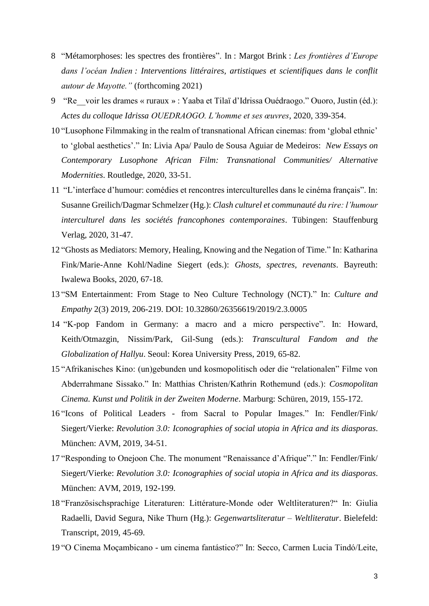- 8 "Métamorphoses: les spectres des frontières". In : Margot Brink : *Les frontières d'Europe dans l'océan Indien : Interventions littéraires, artistiques et scientifiques dans le conflit autour de Mayotte."* (forthcoming 2021)
- 9 "Re\_\_voir les drames « ruraux » : Yaaba et Tilaï d'Idrissa Ouédraogo." Ouoro, Justin (éd.): *Actes du colloque Idrissa OUEDRAOGO. L'homme et ses œuvres*, 2020, 339-354.
- 10 "Lusophone Filmmaking in the realm of transnational African cinemas: from 'global ethnic' to 'global aesthetics'." In: Livia Apa/ Paulo de Sousa Aguiar de Medeiros: *New Essays on Contemporary Lusophone African Film: Transnational Communities/ Alternative Modernities*. Routledge, 2020, 33-51.
- 11 "L'interface d'humour: comédies et rencontres interculturelles dans le cinéma français". In: Susanne Greilich/Dagmar Schmelzer (Hg.): *Clash culturel et communauté du rire: l'humour interculturel dans les sociétés francophones contemporaines*. Tübingen: Stauffenburg Verlag, 2020, 31-47.
- 12 "Ghosts as Mediators: Memory, Healing, Knowing and the Negation of Time." In: Katharina Fink/Marie-Anne Kohl/Nadine Siegert (eds.): *Ghosts, spectres, revenants*. Bayreuth: Iwalewa Books, 2020, 67-18.
- 13 "SM Entertainment: From Stage to Neo Culture Technology (NCT)." In: *Culture and Empathy* 2(3) 2019, 206-219. DOI: 10.32860/26356619/2019/2.3.0005
- 14 "K-pop Fandom in Germany: a macro and a micro perspective". In: Howard, Keith/Otmazgin, Nissim/Park, Gil-Sung (eds.): *Transcultural Fandom and the Globalization of Hallyu*. Seoul: Korea University Press, 2019, 65-82.
- 15 "Afrikanisches Kino: (un)gebunden und kosmopolitisch oder die "relationalen" Filme von Abderrahmane Sissako." In: Matthias Christen/Kathrin Rothemund (eds.): *Cosmopolitan Cinema. Kunst und Politik in der Zweiten Moderne*. Marburg: Schüren, 2019, 155-172.
- 16 "Icons of Political Leaders from Sacral to Popular Images." In: Fendler/Fink/ Siegert/Vierke: *Revolution 3.0: Iconographies of social utopia in Africa and its diasporas*. München: AVM, 2019, 34-51.
- 17 "Responding to Onejoon Che. The monument "Renaissance d'Afrique"." In: Fendler/Fink/ Siegert/Vierke: *Revolution 3.0: Iconographies of social utopia in Africa and its diasporas*. München: AVM, 2019, 192-199.
- 18 "Französischsprachige Literaturen: Littérature-Monde oder Weltliteraturen?" In: Giulia Radaelli, David Segura, Nike Thurn (Hg.): *Gegenwartsliteratur – Weltliteratur*. Bielefeld: Transcript, 2019, 45-69.
- 19 "O Cinema Moçambicano um cinema fantástico?" In: Secco, Carmen Lucia Tindó/Leite,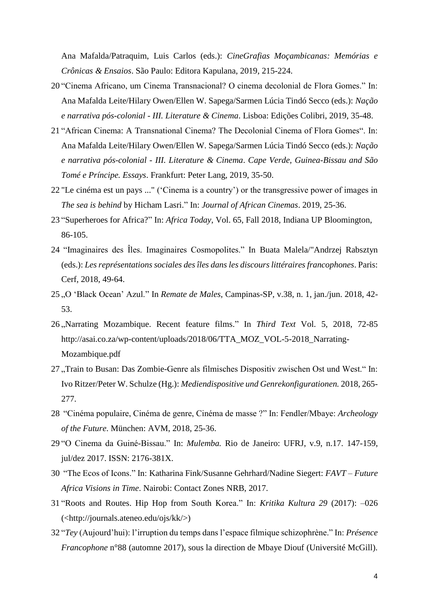Ana Mafalda/Patraquim, Luis Carlos (eds.): *CineGrafias Moçambicanas: Memórias e Crônicas & Ensaios*. São Paulo: Editora Kapulana, 2019, 215-224.

- 20 "Cinema Africano, um Cinema Transnacional? O cinema decolonial de Flora Gomes." In: Ana Mafalda Leite/Hilary Owen/Ellen W. Sapega/Sarmen Lúcia Tindó Secco (eds.): *Nação e narrativa pós-colonial - III. Literature & Cinema*. Lisboa: Edições Colibri, 2019, 35-48.
- 21 "African Cinema: A Transnational Cinema? The Decolonial Cinema of Flora Gomes". In: Ana Mafalda Leite/Hilary Owen/Ellen W. Sapega/Sarmen Lúcia Tindó Secco (eds.): *Nação e narrativa pós-colonial - III. Literature & Cinema*. *Cape Verde, Guinea-Bissau and São Tomé e Príncipe. Essays*. Frankfurt: Peter Lang, 2019, 35-50.
- 22 "Le cinéma est un pays ..." ('Cinema is a country') or the transgressive power of images in *The sea is behind* by Hicham Lasri." In: *Journal of African Cinemas*. 2019, 25-36.
- 23 "Superheroes for Africa?" In: *Africa Today*, Vol. 65, Fall 2018, Indiana UP Bloomington, 86-105.
- 24 "Imaginaires des Îles. Imaginaires Cosmopolites." In Buata Malela/"Andrzej Rabsztyn (eds.): *Les représentations sociales des îles dans les discours littéraires francophones*. Paris: Cerf, 2018, 49-64.
- 25 "O 'Black Ocean' Azul." In *Remate de Males*, Campinas-SP, v.38, n. 1, jan./jun. 2018, 42- 53.
- 26 "Narrating Mozambique. Recent feature films." In *Third Text* Vol. 5, 2018, 72-85 http://asai.co.za/wp-content/uploads/2018/06/TTA\_MOZ\_VOL-5-2018\_Narrating-Mozambique.pdf
- 27 "Train to Busan: Das Zombie-Genre als filmisches Dispositiv zwischen Ost und West." In: Ivo Ritzer/Peter W. Schulze (Hg.): *Mediendispositive und Genrekonfigurationen.* 2018, 265- 277.
- 28 "Cinéma populaire, Cinéma de genre, Cinéma de masse ?" In: Fendler/Mbaye: *Archeology of the Future*. München: AVM, 2018, 25-36.
- 29 "O Cinema da Guiné-Bissau." In: *Mulemba.* Rio de Janeiro: UFRJ, v.9, n.17. 147-159, jul/dez 2017. ISSN: 2176-381X.
- 30 "The Ecos of Icons." In: Katharina Fink/Susanne Gehrhard/Nadine Siegert: *FAVT – Future Africa Visions in Time*. Nairobi: Contact Zones NRB, 2017.
- 31 "Roots and Routes. Hip Hop from South Korea." In: *Kritika Kultura 29* (2017): –026 (<http://journals.ateneo.edu/ojs/kk/>)
- 32 "*Tey* (Aujourd'hui): l'irruption du temps dans l'espace filmique schizophrène." In: *Présence Francophone* n°88 (automne 2017), sous la direction de Mbaye Diouf (Université McGill).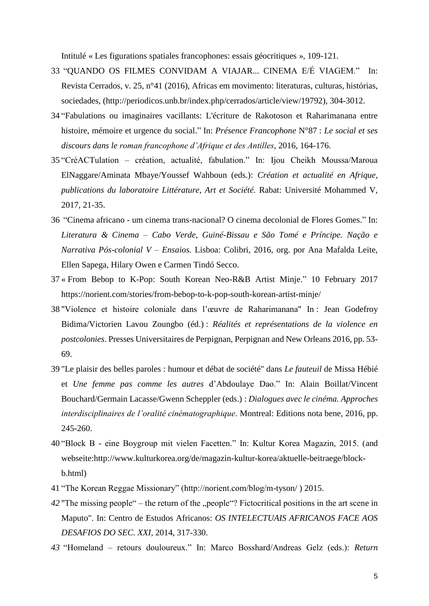Intitulé « Les figurations spatiales francophones: essais géocritiques », 109-121.

- 33 "QUANDO OS FILMES CONVIDAM A VIAJAR... CINEMA E/É VIAGEM." In: Revista Cerrados, v. 25, n°41 (2016), Africas em movimento: literaturas, culturas, histórias, sociedades, (http://periodicos.unb.br/index.php/cerrados/article/view/19792), 304-3012.
- 34 "Fabulations ou imaginaires vacillants: L'écriture de Rakotoson et Raharimanana entre histoire, mémoire et urgence du social." In: *Présence Francophone* N°87 : *Le social et ses discours dans le roman francophone d'Afrique et des Antilles*, 2016, 164-176.
- 35 "CréACTulation création, actualité, fabulation." In: Ijou Cheikh Moussa/Maroua ElNaggare/Aminata Mbaye/Youssef Wahboun (eds.): *Création et actualité en Afrique, publications du laboratoire Littérature, Art et Société.* Rabat: Université Mohammed V, 2017, 21-35.
- 36 "Cinema africano um cinema trans-nacional? O cinema decolonial de Flores Gomes." In: *Literatura & Cinema – Cabo Verde, Guiné-Bissau e São Tomé e Príncipe. Nação e Narrativa Pós-colonial V – Ensaios.* Lisboa: Colibri, 2016, org. por Ana Mafalda Leite, Ellen Sapega, Hilary Owen e Carmen Tindó Secco.
- 37 « [From Bebop to K-Pop: South Korean Neo-R&B Artist Minje.](https://norient.com/stories/from-bebop-to-k-pop-south-korean-artist-minje/)" 10 February 2017 https://norient.com/stories/from-bebop-to-k-pop-south-korean-artist-minje/
- 38 "Violence et histoire coloniale dans l'œuvre de Raharimanana" In : Jean Godefroy Bidima/Victorien Lavou Zoungbo (éd.) : *Réalités et représentations de la violence en postcolonies*. Presses Universitaires de Perpignan, Perpignan and New Orleans 2016, pp. 53- 69.
- 39 "Le plaisir des belles paroles : humour et débat de société" dans *Le fauteuil* de Missa Hébié et *Une femme pas comme les autres* d'Abdoulaye Dao." In: Alain Boillat/Vincent Bouchard/Germain Lacasse/Gwenn Scheppler (eds.) : *Dialogues avec le cinéma. Approches interdisciplinaires de l'oralité cinématographique*. Montreal: Editions nota bene, 2016, pp. 245-260.
- 40 "Block B eine Boygroup mit vielen Facetten." In: Kultur Korea Magazin, 2015. (and webseite:http://www.kulturkorea.org/de/magazin-kultur-korea/aktuelle-beitraege/blockb.html)
- 41 "The Korean Reggae Missionary" (http://norient.com/blog/m-tyson/ ) 2015.
- 42 "The missing people" the return of the "people"? Fictocritical positions in the art scene in Maputo". In: Centro de Estudos Africanos: *OS INTELECTUAIS AFRICANOS FACE AOS DESAFIOS DO SEC. XXI,* 2014, 317-330.
- *43* "Homeland retours douloureux." In: Marco Bosshard/Andreas Gelz (eds.): *Return*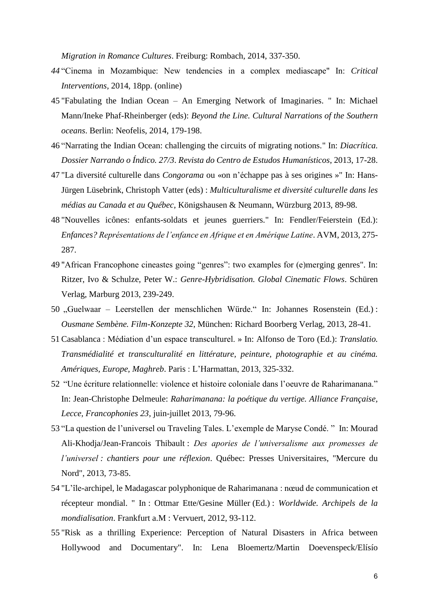*Migration in Romance Cultures*. Freiburg: Rombach, 2014, 337-350.

- *44* "Cinema in Mozambique: New tendencies in a complex mediascape" In: *Critical Interventions,* 2014, 18pp. (online)
- 45 "Fabulating the Indian Ocean An Emerging Network of Imaginaries. " In: Michael Mann/Ineke Phaf-Rheinberger (eds): *Beyond the Line. Cultural Narrations of the Southern oceans*. Berlin: Neofelis, 2014, 179-198.
- 46 "Narrating the Indian Ocean: challenging the circuits of migrating notions." In: *Diacrítica. Dossier Narrando o Índico. 27/3*. *Revista do Centro de Estudos Humanísticos*, 2013, 17-28.
- 47 "La diversité culturelle dans *Congorama* ou «on n'échappe pas à ses origines »" In: Hans-Jürgen Lüsebrink, Christoph Vatter (eds) : *Multiculturalisme et diversité culturelle dans les médias au Canada et au Québec*, Königshausen & Neumann, Würzburg 2013, 89-98.
- 48 "Nouvelles icônes: enfants-soldats et jeunes guerriers." In: Fendler/Feierstein (Ed.): *Enfances? Représentations de l'enfance en Afrique et en Amérique Latine*. AVM, 2013, 275- 287.
- 49 "African Francophone cineastes going "genres": two examples for (e)merging genres". In: Ritzer, Ivo & Schulze, Peter W.: *Genre-Hybridisation. Global Cinematic Flows*. Schüren Verlag, Marburg 2013, 239-249.
- 50 "Guelwaar Leerstellen der menschlichen Würde." In: Johannes Rosenstein (Ed.): *Ousmane Sembène. Film-Konzepte 32*, München: Richard Boorberg Verlag, 2013, 28-41.
- 51 Casablanca : Médiation d'un espace transculturel. » In: Alfonso de Toro (Ed.): *Translatio. Transmédialité et transculturalité en littérature, peinture, photographie et au cinéma. Amériques, Europe, Maghreb*. Paris : L'Harmattan, 2013, 325-332.
- 52 "Une écriture relationnelle: violence et histoire coloniale dans l'oeuvre de Raharimanana." In: Jean-Christophe Delmeule: *Raharimanana: la poétique du vertige. Alliance Française, Lecce, Francophonies 23*, juin-juillet 2013, 79-96.
- 53 "La question de l'universel ou Traveling Tales. L'exemple de Maryse Condé. " In: Mourad Ali-Khodja/Jean-Francois Thibault : *Des apories de l'universalisme aux promesses de l'universel : chantiers pour une réflexion*. Québec: Presses Universitaires, "Mercure du Nord", 2013, 73-85.
- 54 "L'île-archipel, le Madagascar polyphonique de Raharimanana : nœud de communication et récepteur mondial. " In : Ottmar Ette/Gesine Müller (Ed.) : *Worldwide. Archipels de la mondialisation*. Frankfurt a.M : Vervuert, 2012, 93-112.
- 55 "Risk as a thrilling Experience: Perception of Natural Disasters in Africa between Hollywood and Documentary". In: Lena Bloemertz/Martin Doevenspeck/Elísío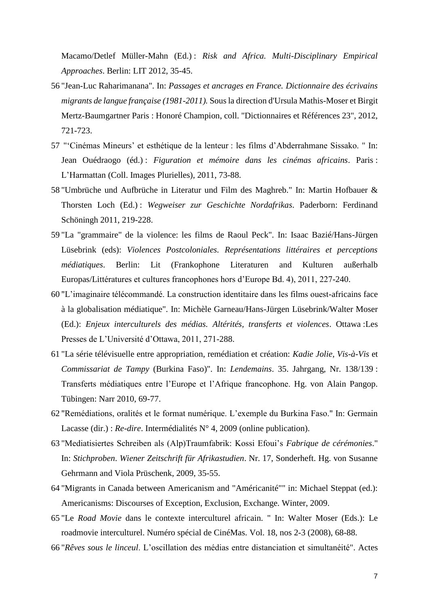Macamo/Detlef Müller-Mahn (Ed.) : *Risk and Africa. Multi-Disciplinary Empirical Approaches*. Berlin: LIT 2012, 35-45.

- 56 "Jean-Luc Raharimanana". In: *Passages et ancrages en France. Dictionnaire des écrivains migrants de langue française (1981-2011).* Sous la direction d'Ursula Mathis-Moser et Birgit Mertz-Baumgartner Paris : Honoré Champion, coll. "Dictionnaires et Références 23", 2012, 721-723.
- 57 "'Cinémas Mineurs' et esthétique de la lenteur : les films d'Abderrahmane Sissako. " In: Jean Ouédraogo (éd.) : *Figuration et mémoire dans les cinémas africains*. Paris : L'Harmattan (Coll. Images Plurielles), 2011, 73-88.
- 58 "Umbrüche und Aufbrüche in Literatur und Film des Maghreb." In: Martin Hofbauer & Thorsten Loch (Ed.) : *Wegweiser zur Geschichte Nordafrikas*. Paderborn: Ferdinand Schöningh 2011, 219-228.
- 59 "La "grammaire" de la violence: les films de Raoul Peck". In: Isaac Bazié/Hans-Jürgen Lüsebrink (eds): *Violences Postcoloniales. Représentations littéraires et perceptions médiatiques*. Berlin: Lit (Frankophone Literaturen and Kulturen außerhalb Europas/Littératures et cultures francophones hors d'Europe Bd. 4), 2011, 227-240.
- 60 "L'imaginaire télécommandé. La construction identitaire dans les films ouest-africains face à la globalisation médiatique". In: Michèle Garneau/Hans-Jürgen Lüsebrink/Walter Moser (Ed.): *Enjeux interculturels des médias. Altérités, transferts et violences*. Ottawa :Les Presses de L'Université d'Ottawa, 2011, 271-288.
- 61 "La série télévisuelle entre appropriation, remédiation et création: *Kadie Jolie, Vis-à-Vis* et *Commissariat de Tampy* (Burkina Faso)". In: *Lendemains*. 35. Jahrgang, Nr. 138/139 : Transferts médiatiques entre l'Europe et l'Afrique francophone. Hg. von Alain Pangop. Tübingen: Narr 2010, 69-77.
- 62 "Remédiations, oralités et le format numérique. L'exemple du Burkina Faso." In: Germain Lacasse (dir.) : *Re-dire*. Intermédialités N° 4, 2009 (online publication).
- 63 "Mediatisiertes Schreiben als (Alp)Traumfabrik: Kossi Efoui's *Fabrique de cérémonies*." In: *Stichproben*. *Wiener Zeitschrift für Afrikastudien*. Nr. 17, Sonderheft. Hg. von Susanne Gehrmann and Viola Prüschenk, 2009, 35-55.
- 64 "Migrants in Canada between Americanism and "Américanité"" in: Michael Steppat (ed.): Americanisms: Discourses of Exception, Exclusion, Exchange. Winter, 2009.
- 65 "Le *Road Movie* dans le contexte interculturel africain. " In: Walter Moser (Eds.): Le roadmovie interculturel. Numéro spécial de CinéMas. Vol. 18, nos 2-3 (2008), 68-88.
- 66 "*Rêves sous le linceul*. L'oscillation des médias entre distanciation et simultanéité". Actes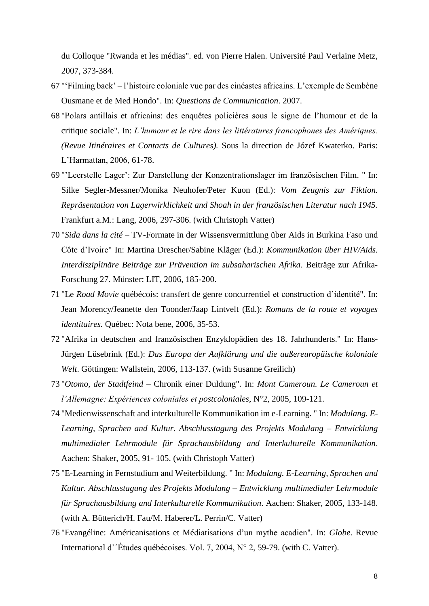du Colloque "Rwanda et les médias". ed. von Pierre Halen. Université Paul Verlaine Metz, 2007, 373-384.

- 67 "'Filming back' l'histoire coloniale vue par des cinéastes africains. L'exemple de Sembène Ousmane et de Med Hondo". In: *Questions de Communication*. 2007.
- 68 "Polars antillais et africains: des enquêtes policières sous le signe de l'humour et de la critique sociale". In: *L'humour et le rire dans les littératures francophones des Amériques. (Revue Itinéraires et Contacts de Cultures).* Sous la direction de Józef Kwaterko. Paris: L'Harmattan, 2006, 61-78.
- 69 "'Leerstelle Lager': Zur Darstellung der Konzentrationslager im französischen Film. " In: Silke Segler-Messner/Monika Neuhofer/Peter Kuon (Ed.): *Vom Zeugnis zur Fiktion. Repräsentation von Lagerwirklichkeit and Shoah in der französischen Literatur nach 1945*. Frankfurt a.M.: Lang, 2006, 297-306. (with Christoph Vatter)
- 70 "*Sida dans la cité* TV-Formate in der Wissensvermittlung über Aids in Burkina Faso und Côte d'Ivoire" In: Martina Drescher/Sabine Kläger (Ed.): *Kommunikation über HIV/Aids. Interdisziplinäre Beiträge zur Prävention im subsaharischen Afrika*. Beiträge zur Afrika-Forschung 27. Münster: LIT, 2006, 185-200.
- 71 "Le *Road Movie* québécois: transfert de genre concurrentiel et construction d'identité". In: Jean Morency/Jeanette den Toonder/Jaap Lintvelt (Ed.): *Romans de la route et voyages identitaires.* Québec: Nota bene, 2006, 35-53.
- 72 "Afrika in deutschen and französischen Enzyklopädien des 18. Jahrhunderts." In: Hans-Jürgen Lüsebrink (Ed.): *Das Europa der Aufklärung und die außereuropäische koloniale Welt*. Göttingen: Wallstein, 2006, 113-137. (with Susanne Greilich)
- 73 "*Otomo, der Stadtfeind* Chronik einer Duldung". In: *Mont Cameroun. Le Cameroun et l'Allemagne: Expériences coloniales et postcoloniales*, N°2, 2005, 109-121.
- 74 "Medienwissenschaft and interkulturelle Kommunikation im e-Learning. " In: *Modulang. E-Learning, Sprachen and Kultur. Abschlusstagung des Projekts Modulang – Entwicklung multimedialer Lehrmodule für Sprachausbildung and Interkulturelle Kommunikation*. Aachen: Shaker, 2005, 91- 105. (with Christoph Vatter)
- 75 "E-Learning in Fernstudium and Weiterbildung. " In: *Modulang. E-Learning, Sprachen and Kultur. Abschlusstagung des Projekts Modulang – Entwicklung multimedialer Lehrmodule für Sprachausbildung and Interkulturelle Kommunikation*. Aachen: Shaker, 2005, 133-148. (with A. Bütterich/H. Fau/M. Haberer/L. Perrin/C. Vatter)
- 76 "Evangéline: Américanisations et Médiatisations d'un mythe acadien". In: *Globe*. Revue International d'´Études québécoises. Vol. 7, 2004, N° 2, 59-79. (with C. Vatter).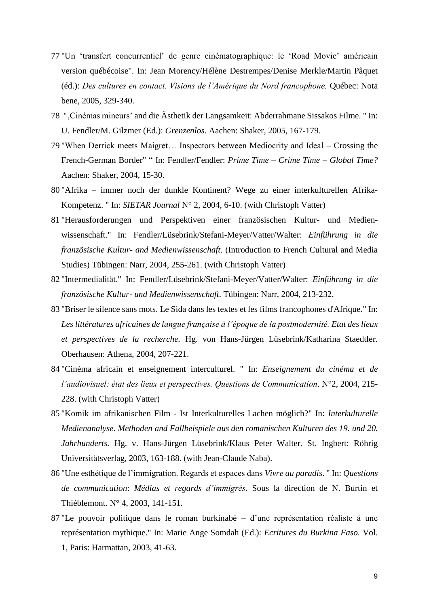- 77 "Un 'transfert concurrentiel' de genre cinématographique: le 'Road Movie' américain version québécoise". In: Jean Morency/Hélène Destrempes/Denise Merkle/Martin Pâquet (éd.): *Des cultures en contact. Visions de l'Amérique du Nord francophone.* Québec: Nota bene, 2005, 329-340.
- 78 "'Cinémas mineurs' and die Ästhetik der Langsamkeit: Abderrahmane Sissakos Filme. " In: U. Fendler/M. Gilzmer (Ed.): *Grenzenlos*. Aachen: Shaker, 2005, 167-179.
- 79 "When Derrick meets Maigret… Inspectors between Mediocrity and Ideal Crossing the French-German Border" " In: Fendler/Fendler: *Prime Time – Crime Time* – *Global Time?* Aachen: Shaker, 2004, 15-30.
- 80 "Afrika immer noch der dunkle Kontinent? Wege zu einer interkulturellen Afrika-Kompetenz. " In: *SIETAR Journal* N° 2, 2004, 6-10. (with Christoph Vatter)
- 81 "Herausforderungen und Perspektiven einer französischen Kultur- und Medienwissenschaft." In: Fendler/Lüsebrink/Stefani-Meyer/Vatter/Walter: *Einführung in die französische Kultur- and Medienwissenschaft*. (Introduction to French Cultural and Media Studies) Tübingen: Narr, 2004, 255-261. (with Christoph Vatter)
- 82 "Intermedialität." In: Fendler/Lüsebrink/Stefani-Meyer/Vatter/Walter: *Einführung in die französische Kultur- und Medienwissenschaft*. Tübingen: Narr, 2004, 213-232.
- 83 "Briser le silence sans mots. Le Sida dans les textes et les films francophones d'Afrique." In: *Les littératures africaines de langue française à l'époque de la postmodernité. Etat des lieux et perspectives de la recherche.* Hg. von Hans-Jürgen Lüsebrink/Katharina Staedtler. Oberhausen: Athena, 2004, 207-221.
- 84 "Cinéma africain et enseignement interculturel. " In: *Enseignement du cinéma et de l'audiovisuel: état des lieux et perspectives. Questions de Communication*. N°2, 2004, 215- 228. (with Christoph Vatter)
- 85 "Komik im afrikanischen Film Ist Interkulturelles Lachen möglich?" In: *Interkulturelle Medienanalyse. Methoden and Fallbeispiele aus den romanischen Kulturen des 19. und 20. Jahrhunderts.* Hg. v. Hans-Jürgen Lüsebrink/Klaus Peter Walter. St. Ingbert: Röhrig Universitätsverlag, 2003, 163-188. (with Jean-Claude Naba).
- 86 "Une esthétique de l'immigration. Regards et espaces dans *Vivre au paradis*. " In: *Questions de communication*: *Médias et regards d'immigrés*. Sous la direction de N. Burtin et Thiéblemont. N° 4, 2003, 141-151.
- 87 "Le pouvoir politique dans le roman burkinabè d'une représentation réaliste á une représentation mythique." In: Marie Ange Somdah (Ed.): *Ecritures du Burkina Faso.* Vol. 1, Paris: Harmattan, 2003, 41-63.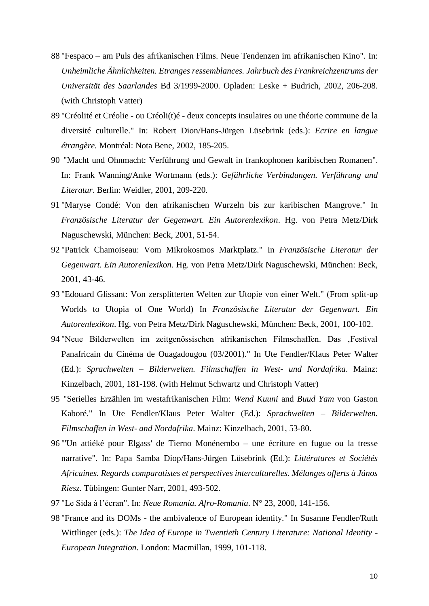- 88 "Fespaco am Puls des afrikanischen Films. Neue Tendenzen im afrikanischen Kino". In: *Unheimliche Ähnlichkeiten. Etranges ressemblances. Jahrbuch des Frankreichzentrums der Universität des Saarlandes* Bd 3/1999-2000. Opladen: Leske + Budrich, 2002, 206-208. (with Christoph Vatter)
- 89 "Créolité et Créolie ou Créoli(t)é deux concepts insulaires ou une théorie commune de la diversité culturelle." In: Robert Dion/Hans-Jürgen Lüsebrink (eds.): *Ecrire en langue étrangère.* Montréal: Nota Bene, 2002, 185-205.
- 90 "Macht und Ohnmacht: Verführung und Gewalt in frankophonen karibischen Romanen". In: Frank Wanning/Anke Wortmann (eds.): *Gefährliche Verbindungen. Verführung und Literatur*. Berlin: Weidler, 2001, 209-220.
- 91 "Maryse Condé: Von den afrikanischen Wurzeln bis zur karibischen Mangrove." In *Französische Literatur der Gegenwart. Ein Autorenlexikon*. Hg. von Petra Metz/Dirk Naguschewski, München: Beck, 2001, 51-54.
- 92 "Patrick Chamoiseau: Vom Mikrokosmos Marktplatz." In *Französische Literatur der Gegenwart. Ein Autorenlexikon*. Hg. von Petra Metz/Dirk Naguschewski, München: Beck, 2001, 43-46.
- 93 "Edouard Glissant: Von zersplitterten Welten zur Utopie von einer Welt." (From split-up Worlds to Utopia of One World) In *Französische Literatur der Gegenwart. Ein Autorenlexikon*. Hg. von Petra Metz/Dirk Naguschewski, München: Beck, 2001, 100-102.
- 94 "Neue Bilderwelten im zeitgenössischen afrikanischen Filmschaffen. Das ,Festival Panafricain du Cinéma de Ouagadougou (03/2001)." In Ute Fendler/Klaus Peter Walter (Ed.): *Sprachwelten – Bilderwelten. Filmschaffen in West- und Nordafrika*. Mainz: Kinzelbach, 2001, 181-198. (with Helmut Schwartz und Christoph Vatter)
- 95 "Serielles Erzählen im westafrikanischen Film: *Wend Kuuni* and *Buud Yam* von Gaston Kaboré." In Ute Fendler/Klaus Peter Walter (Ed.): *Sprachwelten – Bilderwelten. Filmschaffen in West- and Nordafrika*. Mainz: Kinzelbach, 2001, 53-80.
- 96 "'Un attiéké pour Elgass' de Tierno Monénembo une écriture en fugue ou la tresse narrative". In: Papa Samba Diop/Hans-Jürgen Lüsebrink (Ed.): *Littératures et Sociétés Africaines. Regards comparatistes et perspectives interculturelles. Mélanges offerts à János Riesz*. Tübingen: Gunter Narr, 2001, 493-502.
- 97 "Le Sida à l'écran". In: *Neue Romania. Afro-Romania*. N° 23, 2000, 141-156.
- 98 "France and its DOMs the ambivalence of European identity." In Susanne Fendler/Ruth Wittlinger (eds.): *The Idea of Europe in Twentieth Century Literature: National Identity - European Integration*. London: Macmillan, 1999, 101-118.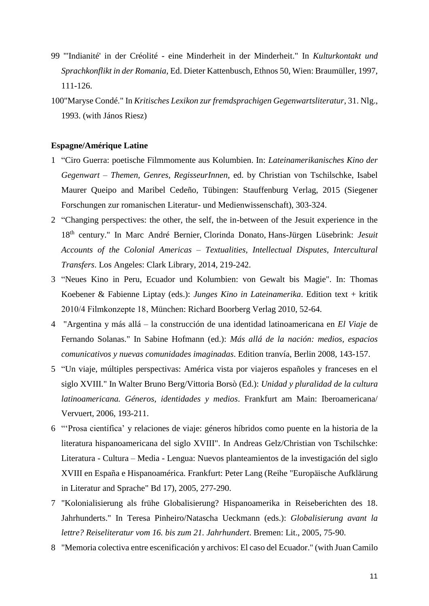- 99 "'Indianité' in der Créolité eine Minderheit in der Minderheit." In *Kulturkontakt und Sprachkonflikt in der Romania*, Ed. Dieter Kattenbusch, Ethnos 50, Wien: Braumüller, 1997, 111-126.
- 100"Maryse Condé." In *Kritisches Lexikon zur fremdsprachigen Gegenwartsliteratur*, 31. Nlg., 1993. (with János Riesz)

# **Espagne/Amérique Latine**

- 1 "Ciro Guerra: poetische Filmmomente aus Kolumbien. In: *Lateinamerikanisches Kino der Gegenwart – Themen, Genres, RegisseurInnen*, ed. by Christian von Tschilschke, Isabel Maurer Queipo and Maribel Cedeño, Tübingen: Stauffenburg Verlag, 2015 (Siegener Forschungen zur romanischen Literatur- und Medienwissenschaft), 303-324.
- 2 "Changing perspectives: the other, the self, the in-between of the Jesuit experience in the 18th century." In [Marc André Bernier,](http://www.amazon.com/s/ref=dp_byline_sr_book_1?ie=UTF8&text=Marc+Andr%C3%A9+Bernier&search-alias=books&field-author=Marc+Andr%C3%A9+Bernier&sort=relevancerank) [Clorinda Donato,](http://www.amazon.com/s/ref=dp_byline_sr_book_2?ie=UTF8&text=Clorinda+Donato&search-alias=books&field-author=Clorinda+Donato&sort=relevancerank) [Hans-Jürgen Lüsebrink:](http://www.amazon.com/s/ref=dp_byline_sr_book_3?ie=UTF8&text=Hans-J%C3%BCrgen+L%C3%BCsebrink&search-alias=books&field-author=Hans-J%C3%BCrgen+L%C3%BCsebrink&sort=relevancerank) *Jesuit Accounts of the Colonial Americas – Textualities, Intellectual Disputes, Intercultural Transfers*. Los Angeles: Clark Library, 2014, 219-242.
- 3 "Neues Kino in Peru, Ecuador und Kolumbien: von Gewalt bis Magie". In: Thomas Koebener & Fabienne Liptay (eds.): *Junges Kino in Lateinamerika*. Edition text + kritik 2010/4 Filmkonzepte 18, München: Richard Boorberg Verlag 2010, 52-64.
- 4 "Argentina y más allá la construcción de una identidad latinoamericana en *El Viaje* de Fernando Solanas." In Sabine Hofmann (ed.): *Más allá de la nación: medios, espacios comunicativos y nuevas comunidades imaginadas*. Edition tranvía, Berlin 2008, 143-157.
- 5 "Un viaje, múltiples perspectivas: América vista por viajeros españoles y franceses en el siglo XVIII." In Walter Bruno Berg/Vittoria Borsò (Ed.): *Unidad y pluralidad de la cultura latinoamericana. Géneros, identidades y medios*. Frankfurt am Main: Iberoamericana/ Vervuert, 2006, 193-211.
- 6 "'Prosa científica' y relaciones de viaje: géneros híbridos como puente en la historia de la literatura hispanoamericana del siglo XVIII". In Andreas Gelz/Christian von Tschilschke: Literatura - Cultura – Media - Lengua: Nuevos planteamientos de la investigación del siglo XVIII en España e Hispanoamérica. Frankfurt: Peter Lang (Reihe "Europäische Aufklärung in Literatur and Sprache" Bd 17), 2005, 277-290.
- 7 "Kolonialisierung als frühe Globalisierung? Hispanoamerika in Reiseberichten des 18. Jahrhunderts." In Teresa Pinheiro/Natascha Ueckmann (eds.): *Globalisierung avant la lettre? Reiseliteratur vom 16. bis zum 21. Jahrhundert*. Bremen: Lit., 2005, 75-90.
- 8 "Memoria colectiva entre escenificación y archivos: El caso del Ecuador." (with Juan Camilo